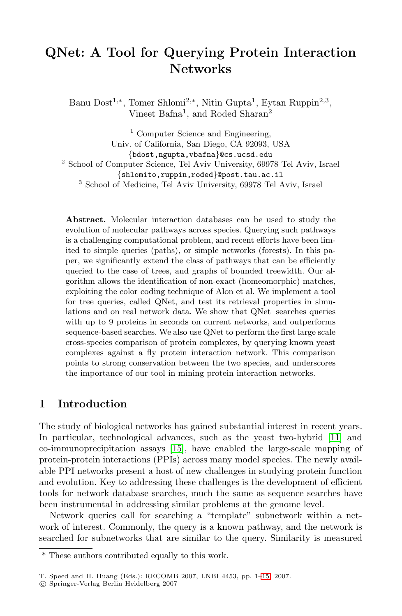# **QNet: A Tool for Querying Protein Interaction Networks**

Banu Dost<sup>1</sup>,∗, Tomer Shlomi<sup>2</sup>,∗, Nitin Gupta<sup>1</sup>, Eytan Ruppin<sup>2</sup>,<sup>3</sup>, Vineet Bafna<sup>1</sup>, and Roded Sharan<sup>2</sup>

 $1$  Computer Science and Engineering, Univ. of California, San Diego, CA 92093, USA {bdost,ngupta,vbafna}@cs.ucsd.edu <sup>2</sup> School of Computer Science, Tel Aviv University, 69978 Tel Aviv, Israel {shlomito,ruppin,roded}@post.tau.ac.il <sup>3</sup> School of Medicine, Tel Aviv University, 69978 Tel Aviv, Israel

**Abstract.** Molecular interaction databases can be used to study the evolution of molecular pathways across species. Querying such pathways is a challenging computational problem, and recent efforts have been limited to simple queries (paths), or simple networks (forests). In this paper, we significantly extend the class of pathways that can be efficiently queried to the case of trees, and graphs of bounded treewidth. Our algorithm allows the identification of non-exact (homeomorphic) matches, exploiting the color coding technique of Alon et al. We implement a tool for tree queries, called QNet, and test its retrieval properties in simulations and on real network data. We show that QNet searches queries with up to 9 proteins in seconds on current networks, and outperforms sequence-based searches. We also use QNet to perform the first large scale cross-species comparison of protein complexes, by querying known yeast complexes against a fly protein interaction network. This comparison points to strong conservation between the two species, and underscores the importance of our tool in mining protein interaction networks.

## **1 Introduction**

The study of biological networks has gained substantial interest in recent years. In particular, technological advances, such as the yeast two-hybrid [11] and co-immunoprecipitation assays [15], have enabled the large-scale mapping of protein-protein interactions (PPIs) across many model species. The newly available PPI networks present a host of new challenges in studying protein function and evolution. Key to addressing these challenges is the development of efficient tools for network database searches, much the same as sequence searches have been instrumental in addressing similar problems at the genome level.

Network queries call for searching a "template" subnetwork within a network of interest. Commonly, the query is a known pathway, and the network is searched for subnetworks that are similar to the query. Similarity is measured

<sup>\*</sup> These authors contributed equally to this work.

T. Speed and H. Huang (Eds.): RECOMB 2007, LNBI 4453, pp. 1–15, 2007.

c Springer-Verlag Berlin Heidelberg 2007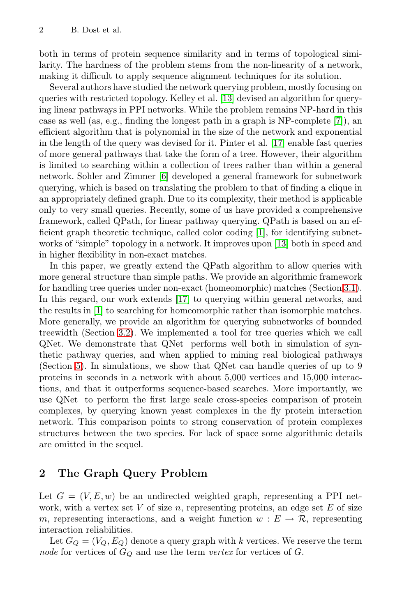both in terms of protein sequence similarity and in terms of topological similarity. The hardness of the problem stems from the non-linearity of a network, making it difficult to apply sequence alignment techniques for its solution.

Several authors have studied the network querying problem, mostly focusing on queries with restricted topology. Kelley et al. [13] devised an algorithm for querying linear pathways in PPI networks. While the problem remains NP-hard in this case as well (as, e.g., finding the longest path in a graph is NP-complete [7]), an efficient algorithm that is polynomial in the size of the network and exponential in the length of the query was devised for it. Pinter et al. [17] enable fast queries of more general pathways that take the form of a tree. However, their algorithm is limited to searching within a collection of trees rather than within a general network. Sohler and Zimmer [6] developed a general framework for subnetwork querying, which is based on translating the problem to that of finding a clique in an appropriately defined graph. Due to its complexity, their method is applicable only to very small queries. Recently, some of us have provided a comprehensive framework, called QPath, for linear pathway querying. QPath is based on an efficient graph theoretic technique, called color coding [1], for identifying subnetworks of "simple" topology in a network. It improves upon [13] both in speed and in higher flexibility in non-exact matches.

In this paper, we greatly extend the QPath algorithm to allow queries with more general structure than simple paths. We provide an algorithmic framework for handling tree queries under non-exact (homeomorphic) matches (Section 3.1). In this regard, our work extends [17] to querying within general networks, and the results in [1] to searching for homeomorphic rather than isomorphic matches. More generally, we provide an algorithm for querying subnetworks of bounded treewidth (Section 3.2). We implemented a tool for tree queries which we call QNet. We demonstrate that QNet performs well both in simulation of synthetic pathway queries, and when applied to mining real biological pathways (Section 5). In simulations, we show that QNet can handle queries of up to 9 proteins in seconds in a network with about 5,000 vertices and 15,000 interactions, and that it outperforms sequence-based searches. More importantly, we use QNet to perform the first large scale cross-species comparison of protein complexes, by querying known yeast complexes in the fly protein interaction network. This comparison points to strong conservation of protein complexes structures between the two species. For lack of space some algorithmic details are omitted in the sequel.

## **2 The Graph Query Problem**

Let  $G = (V, E, w)$  be an undirected weighted graph, representing a PPI network, with a vertex set V of size n, representing proteins, an edge set E of size m, representing interactions, and a weight function  $w : E \to \mathcal{R}$ , representing interaction reliabilities.

Let  $G_Q = (V_Q, E_Q)$  denote a query graph with k vertices. We reserve the term node for vertices of  $G_Q$  and use the term vertex for vertices of  $G$ .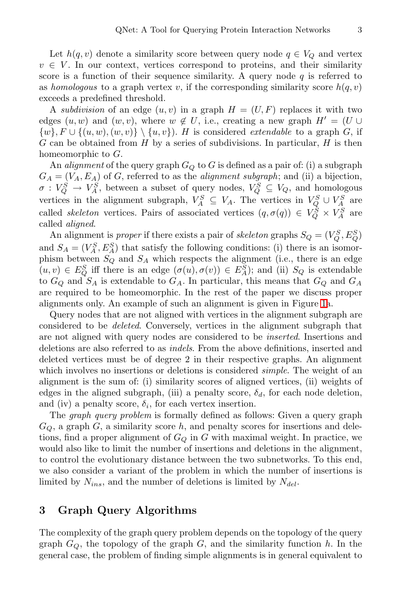Let  $h(q, v)$  denote a similarity score between query node  $q \in V_Q$  and vertex  $v \in V$ . In our context, vertices correspond to proteins, and their similarity score is a function of their sequence similarity. A query node  $q$  is referred to as homologous to a graph vertex v, if the corresponding similarity score  $h(q, v)$ exceeds a predefined threshold.

A subdivision of an edge  $(u, v)$  in a graph  $H = (U, F)$  replaces it with two edges  $(u, w)$  and  $(w, v)$ , where  $w \notin U$ , i.e., creating a new graph  $H' = (U \cup$  $\{w\}, F \cup \{(u,w),(w,v)\}\setminus \{u,v\}$ . H is considered *extendable* to a graph G, if G can be obtained from H by a series of subdivisions. In particular, H is then homeomorphic to G.

An *alignment* of the query graph  $G<sub>O</sub>$  to G is defined as a pair of: (i) a subgraph  $G_A = (V_A, E_A)$  of G, referred to as the *alignment subgraph*; and (ii) a bijection,  $\sigma: V_Q^S \to V_A^S$ , between a subset of query nodes,  $V_Q^S \subseteq V_Q$ , and homologous vertices in the alignment subgraph,  $V_A^S \subseteq V_A$ . The vertices in  $V_Q^S \cup V_A^S$  are called *skeleton* vertices. Pairs of associated vertices  $(q, \sigma(q)) \in V_Q^S \times V_A^S$  are called aligned.

An alignment is *proper* if there exists a pair of *skeleton* graphs  $S_Q = (V_Q^S, E_Q^S)$ and  $S_A = (V_A^S, E_A^S)$  that satisfy the following conditions: (i) there is an isomorphism between  $S_Q$  and  $S_A$  which respects the alignment (i.e., there is an edge  $(u, v) \in E^S_Q$  iff there is an edge  $(\sigma(u), \sigma(v)) \in E^S_A$ ; and (ii)  $S_Q$  is extendable to  $G_Q$  and  $S_A$  is extendable to  $G_A$ . In particular, this means that  $G_Q$  and  $G_A$ are required to be homeomorphic. In the rest of the paper we discuss proper alignments only. An example of such an alignment is given in Figure 1a.

Query nodes that are not aligned with vertices in the alignment subgraph are considered to be deleted. Conversely, vertices in the alignment subgraph that are not aligned with query nodes are considered to be inserted. Insertions and deletions are also referred to as indels. From the above definitions, inserted and deleted vertices must be of degree 2 in their respective graphs. An alignment which involves no insertions or deletions is considered *simple*. The weight of an alignment is the sum of: (i) similarity scores of aligned vertices, (ii) weights of edges in the aligned subgraph, (iii) a penalty score,  $\delta_d$ , for each node deletion, and (iv) a penalty score,  $\delta_i$ , for each vertex insertion.

The graph query problem is formally defined as follows: Given a query graph  $G_Q$ , a graph  $G$ , a similarity score  $h$ , and penalty scores for insertions and deletions, find a proper alignment of  $G_Q$  in G with maximal weight. In practice, we would also like to limit the number of insertions and deletions in the alignment, to control the evolutionary distance between the two subnetworks. To this end, we also consider a variant of the problem in which the number of insertions is limited by  $N_{ins}$ , and the number of deletions is limited by  $N_{del}$ .

## **3 Graph Query Algorithms**

The complexity of the graph query problem depends on the topology of the query graph  $G_Q$ , the topology of the graph  $G$ , and the similarity function h. In the general case, the problem of finding simple alignments is in general equivalent to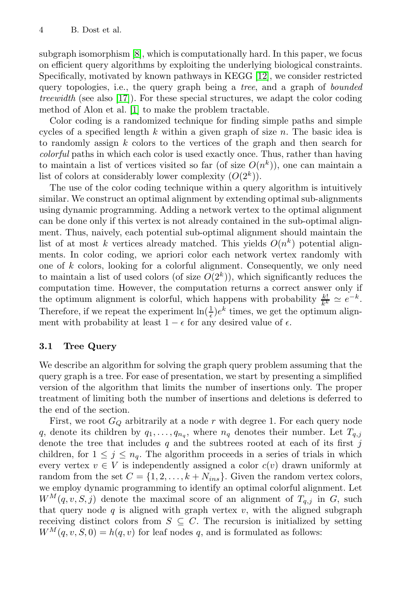subgraph isomorphism [8], which is computationally hard. In this paper, we focus on efficient query algorithms by exploiting the underlying biological constraints. Specifically, motivated by known pathways in KEGG [12], we consider restricted query topologies, i.e., the query graph being a tree, and a graph of bounded treewidth (see also [17]). For these special structures, we adapt the color coding method of Alon et al. [1] to make the problem tractable.

Color coding is a randomized technique for finding simple paths and simple cycles of a specified length  $k$  within a given graph of size  $n$ . The basic idea is to randomly assign  $k$  colors to the vertices of the graph and then search for colorful paths in which each color is used exactly once. Thus, rather than having to maintain a list of vertices visited so far (of size  $O(n^k)$ ), one can maintain a list of colors at considerably lower complexity  $(O(2^k))$ .

The use of the color coding technique within a query algorithm is intuitively similar. We construct an optimal alignment by extending optimal sub-alignments using dynamic programming. Adding a network vertex to the optimal alignment can be done only if this vertex is not already contained in the sub-optimal alignment. Thus, naively, each potential sub-optimal alignment should maintain the list of at most k vertices already matched. This yields  $O(n^k)$  potential alignments. In color coding, we apriori color each network vertex randomly with one of k colors, looking for a colorful alignment. Consequently, we only need to maintain a list of used colors (of size  $O(2<sup>k</sup>)$ ), which significantly reduces the computation time. However, the computation returns a correct answer only if the optimum alignment is colorful, which happens with probability  $\frac{k!}{k^k} \simeq e^{-k}$ . Therefore, if we repeat the experiment  $\ln(\frac{1}{\epsilon})e^k$  times, we get the optimum alignment with probability at least  $1 - \epsilon$  for any desired value of  $\epsilon$ .

#### **3.1 Tree Query**

We describe an algorithm for solving the graph query problem assuming that the query graph is a tree. For ease of presentation, we start by presenting a simplified version of the algorithm that limits the number of insertions only. The proper treatment of limiting both the number of insertions and deletions is deferred to the end of the section.

First, we root  $G_Q$  arbitrarily at a node r with degree 1. For each query node q, denote its children by  $q_1, \ldots, q_{n_q}$ , where  $n_q$  denotes their number. Let  $T_{q,j}$ denote the tree that includes  $q$  and the subtrees rooted at each of its first j children, for  $1 \leq j \leq n_q$ . The algorithm proceeds in a series of trials in which every vertex  $v \in V$  is independently assigned a color  $c(v)$  drawn uniformly at random from the set  $C = \{1, 2, ..., k + N_{ins}\}\.$  Given the random vertex colors, we employ dynamic programming to identify an optimal colorful alignment. Let  $W^M(q, v, S, j)$  denote the maximal score of an alignment of  $T_{q,j}$  in G, such that query node  $q$  is aligned with graph vertex  $v$ , with the aligned subgraph receiving distinct colors from  $S \subseteq C$ . The recursion is initialized by setting  $W^M(q, v, S, 0) = h(q, v)$  for leaf nodes q, and is formulated as follows: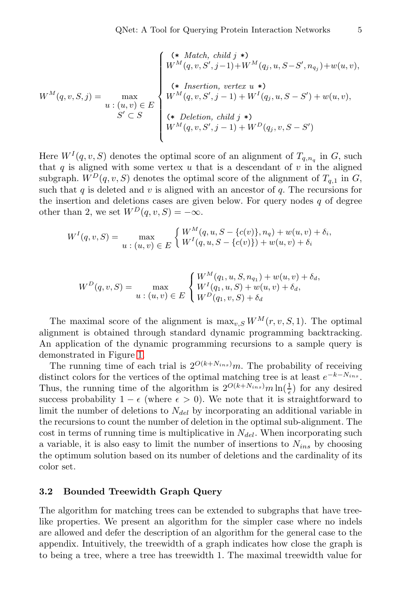$$
W^{M}(q, v, S, j) = \max_{\begin{aligned} W^{M}(q, v, S', j-1) + W^{M}(q_{j}, u, S-S', n_{q_{j}}) + w(u, v), \\ w &\in (u, v) \in E \\ S' \subset S \end{aligned}} \begin{cases} (* \textit{Match, child } j * ) \\ (\ast \textit{Insertion, vertex } u * ) \\ W^{M}(q, v, S', j-1) + W^{I}(q_{j}, u, S-S') + w(u, v), \\ (* \textit{Deletion, child } j * ) \\ W^{M}(q, v, S', j-1) + W^{D}(q_{j}, v, S-S') \end{cases}
$$

Here  $W^I(q, v, S)$  denotes the optimal score of an alignment of  $T_{q,n_q}$  in G, such that  $q$  is aligned with some vertex  $u$  that is a descendant of  $v$  in the aligned subgraph.  $W^D(q, v, S)$  denotes the optimal score of the alignment of  $T_{q,1}$  in  $G$ , such that  $q$  is deleted and  $v$  is aligned with an ancestor of  $q$ . The recursions for the insertion and deletions cases are given below. For query nodes  $q$  of degree other than 2, we set  $W^D(q, v, S) = -\infty$ .

$$
W^{I}(q, v, S) = \max_{u \; : \; (u, v) \; \in \; E} \begin{cases} W^{M}(q, u, S - \{c(v)\}, n_q) + w(u, v) + \delta_i, \\ W^{I}(q, u, S - \{c(v)\}) + w(u, v) + \delta_i \end{cases}
$$

$$
W^{D}(q, v, S) = \max_{u \; : \; (u, v) \; \in \; E} \begin{cases} W^{M}(q_1, u, S, n_{q_1}) + w(u, v) + \delta_d, \\ W^{I}(q_1, u, S) + w(u, v) + \delta_d, \\ W^{D}(q_1, v, S) + \delta_d \end{cases}
$$

The maximal score of the alignment is  $\max_{v,S} W^M(r, v, S, 1)$ . The optimal alignment is obtained through standard dynamic programming backtracking. An application of the dynamic programming recursions to a sample query is demonstrated in Figure 1.

The running time of each trial is  $2^{O(k+N_{ins})}m$ . The probability of receiving distinct colors for the vertices of the optimal matching tree is at least  $e^{-k-N_{ins}}$ . Thus, the running time of the algorithm is  $2^{O(k+N_{ins})}m \ln(\frac{1}{\epsilon})$  for any desired success probability  $1 - \epsilon$  (where  $\epsilon > 0$ ). We note that it is straightforward to limit the number of deletions to  $N_{del}$  by incorporating an additional variable in the recursions to count the number of deletion in the optimal sub-alignment. The cost in terms of running time is multiplicative in  $N_{del}$ . When incorporating such a variable, it is also easy to limit the number of insertions to  $N_{ins}$  by choosing the optimum solution based on its number of deletions and the cardinality of its color set.

#### **3.2 Bounded Treewidth Graph Query**

The algorithm for matching trees can be extended to subgraphs that have treelike properties. We present an algorithm for the simpler case where no indels are allowed and defer the description of an algorithm for the general case to the appendix. Intuitively, the treewidth of a graph indicates how close the graph is to being a tree, where a tree has treewidth 1. The maximal treewidth value for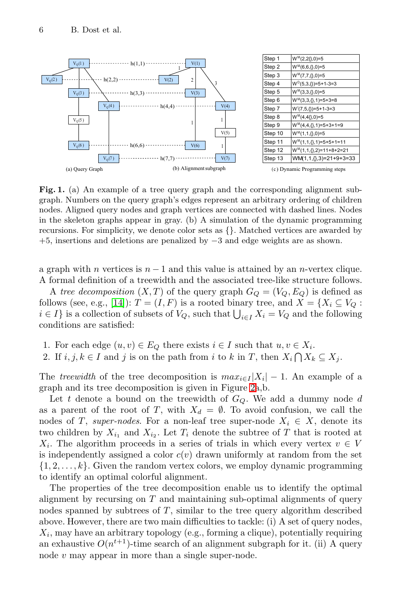

Fig. 1. (a) An example of a tree query graph and the corresponding alignment subgraph. Numbers on the query graph's edges represent an arbitrary ordering of children nodes. Aligned query nodes and graph vertices are connected with dashed lines. Nodes in the skeleton graphs appear in gray. (b) A simulation of the dynamic programming recursions. For simplicity, we denote color sets as {}. Matched vertices are awarded by +5, insertions and deletions are penalized by −3 and edge weights are as shown.

a graph with *n* vertices is  $n - 1$  and this value is attained by an *n*-vertex clique. A formal definition of a treewidth and the associated tree-like structure follows.

A tree decomposition  $(X, T)$  of the query graph  $G_Q = (V_Q, E_Q)$  is defined as follows (see, e.g., [14]):  $T = (I, F)$  is a rooted binary tree, and  $X = \{X_i \subseteq V_Q :$  $i \in I$  is a collection of subsets of  $V_Q$ , such that  $\bigcup_{i \in I} X_i = V_Q$  and the following conditions are satisfied:

1. For each edge  $(u, v) \in E_Q$  there exists  $i \in I$  such that  $u, v \in X_i$ .

2. If  $i, j, k \in I$  and j is on the path from i to k in T, then  $X_i \cap X_k \subseteq X_j$ .

The treewidth of the tree decomposition is  $max_{i\in I} |X_i| - 1$ . An example of a graph and its tree decomposition is given in Figure 2a,b.

Let t denote a bound on the treewidth of  $G_Q$ . We add a dummy node d as a parent of the root of T, with  $X_d = \emptyset$ . To avoid confusion, we call the nodes of T, super-nodes. For a non-leaf tree super-node  $X_i \in X$ , denote its two children by  $X_{i_1}$  and  $X_{i_2}$ . Let  $T_i$  denote the subtree of T that is rooted at  $X_i$ . The algorithm proceeds in a series of trials in which every vertex  $v \in V$ is independently assigned a color  $c(v)$  drawn uniformly at random from the set  $\{1, 2, \ldots, k\}$ . Given the random vertex colors, we employ dynamic programming to identify an optimal colorful alignment.

The properties of the tree decomposition enable us to identify the optimal alignment by recursing on  $T$  and maintaining sub-optimal alignments of query nodes spanned by subtrees of  $T$ , similar to the tree query algorithm described above. However, there are two main difficulties to tackle: (i) A set of query nodes,  $X_i$ , may have an arbitrary topology (e.g., forming a clique), potentially requiring an exhaustive  $O(n^{t+1})$ -time search of an alignment subgraph for it. (ii) A query node  $v$  may appear in more than a single super-node.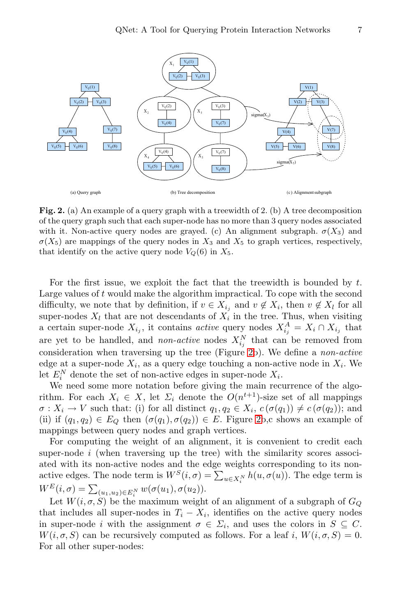

**Fig. 2.** (a) An example of a query graph with a treewidth of 2. (b) A tree decomposition of the query graph such that each super-node has no more than 3 query nodes associated with it. Non-active query nodes are grayed. (c) An alignment subgraph.  $\sigma(X_3)$  and  $\sigma(X_5)$  are mappings of the query nodes in  $X_3$  and  $X_5$  to graph vertices, respectively, that identify on the active query node  $V_Q(6)$  in  $X_5$ .

For the first issue, we exploit the fact that the treewidth is bounded by  $t$ . Large values of t would make the algorithm impractical. To cope with the second difficulty, we note that by definition, if  $v \in X_{i_j}$  and  $v \notin X_i$ , then  $v \notin X_l$  for all super-nodes  $X_l$  that are not descendants of  $X_i$  in the tree. Thus, when visiting a certain super-node  $X_{i_j}$ , it contains *active* query nodes  $X_{i_j}^A = X_i \cap X_{i_j}$  that are yet to be handled, and *non-active* nodes  $X_{i_j}^N$  that can be removed from consideration when traversing up the tree (Figure 2b). We define a non-active edge at a super-node  $X_i$ , as a query edge touching a non-active node in  $X_i$ . We let  $E_i^N$  denote the set of non-active edges in super-node  $X_i$ .

We need some more notation before giving the main recurrence of the algorithm. For each  $X_i \in X$ , let  $\Sigma_i$  denote the  $O(n^{t+1})$ -size set of all mappings  $\sigma: X_i \to V$  such that: (i) for all distinct  $q_1, q_2 \in X_i$ ,  $c(\sigma(q_1)) \neq c(\sigma(q_2))$ ; and (ii) if  $(q_1, q_2) \in E_Q$  then  $(\sigma(q_1), \sigma(q_2)) \in E$ . Figure 2b,c shows an example of mappings between query nodes and graph vertices.

For computing the weight of an alignment, it is convenient to credit each super-node  $i$  (when traversing up the tree) with the similarity scores associated with its non-active nodes and the edge weights corresponding to its nonactive edges. The node term is  $W^S(i, \sigma) = \sum_{u \in X_i^N} h(u, \sigma(u))$ . The edge term is  $W^{E}(i,\sigma) = \sum_{(u_1,u_2) \in E_i^N} w(\sigma(u_1), \sigma(u_2)).$ 

Let  $W(i, \sigma, S)$  be the maximum weight of an alignment of a subgraph of  $G_Q$ that includes all super-nodes in  $T_i - X_i$ , identifies on the active query nodes in super-node i with the assignment  $\sigma \in \Sigma_i$ , and uses the colors in  $S \subseteq C$ .  $W(i, \sigma, S)$  can be recursively computed as follows. For a leaf i,  $W(i, \sigma, S) = 0$ . For all other super-nodes: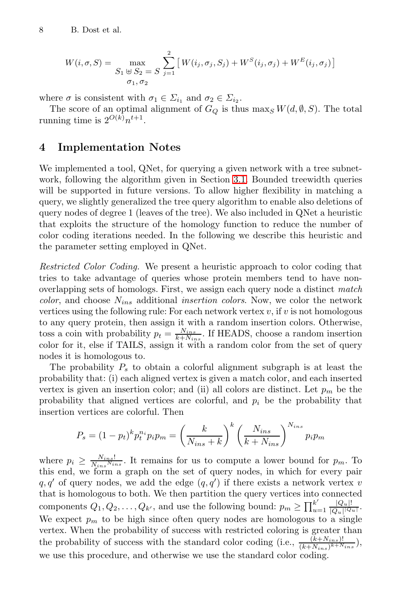$$
W(i, \sigma, S) = \max_{\substack{S_1 \ \oplus \ S_2 = S}} \sum_{j=1}^{2} \left[ W(i_j, \sigma_j, S_j) + W^S(i_j, \sigma_j) + W^E(i_j, \sigma_j) \right]
$$

where  $\sigma$  is consistent with  $\sigma_1 \in \Sigma_{i_1}$  and  $\sigma_2 \in \Sigma_{i_2}$ .

The score of an optimal alignment of  $G_Q$  is thus max<sub>S</sub>  $W(d, \emptyset, S)$ . The total running time is  $2^{O(k)}n^{t+1}$ .

## **4 Implementation Notes**

We implemented a tool, QNet, for querying a given network with a tree subnetwork, following the algorithm given in Section 3.1. Bounded treewidth queries will be supported in future versions. To allow higher flexibility in matching a query, we slightly generalized the tree query algorithm to enable also deletions of query nodes of degree 1 (leaves of the tree). We also included in QNet a heuristic that exploits the structure of the homology function to reduce the number of color coding iterations needed. In the following we describe this heuristic and the parameter setting employed in QNet.

Restricted Color Coding. We present a heuristic approach to color coding that tries to take advantage of queries whose protein members tend to have nonoverlapping sets of homologs. First, we assign each query node a distinct match *color*, and choose  $N_{ins}$  additional *insertion colors*. Now, we color the network vertices using the following rule: For each network vertex  $v$ , if  $v$  is not homologous to any query protein, then assign it with a random insertion colors. Otherwise, toss a coin with probability  $p_t = \frac{N_{ins}}{k + N_{ins}}$ . If HEADS, choose a random insertion color for it, else if TAILS, assign it with a random color from the set of query nodes it is homologous to.

The probability  $P_s$  to obtain a colorful alignment subgraph is at least the probability that: (i) each aligned vertex is given a match color, and each inserted vertex is given an insertion color; and (ii) all colors are distinct. Let  $p_m$  be the probability that aligned vertices are colorful, and  $p_i$  be the probability that insertion vertices are colorful. Then

$$
P_s = (1 - p_t)^k p_t^{n_i} p_i p_m = \left(\frac{k}{N_{ins} + k}\right)^k \left(\frac{N_{ins}}{k + N_{ins}}\right)^{N_{ins}} p_i p_m
$$

where  $p_i \geq \frac{N_{ins}!}{N_{ins}N_{ins}}$ . It remains for us to compute a lower bound for  $p_m$ . To this end, we form a graph on the set of query nodes, in which for every pair  $q, q'$  of query nodes, we add the edge  $(q, q')$  if there exists a network vertex v that is homologous to both. We then partition the query vertices into connected components  $Q_1, Q_2, \ldots, Q_{k'}$ , and use the following bound:  $p_m \ge \prod_{u=1}^{k'} \frac{|Q_u|!}{|Q_u||Q_u|}$ . We expect  $p_m$  to be high since often query nodes are homologous to a single vertex. When the probability of success with restricted coloring is greater than the probability of success with the standard color coding (i.e.,  $\frac{(k+N_{ins})!}{(k+N_{ins})^{k+N_{ins}}}\,$ ), we use this procedure, and otherwise we use the standard color coding.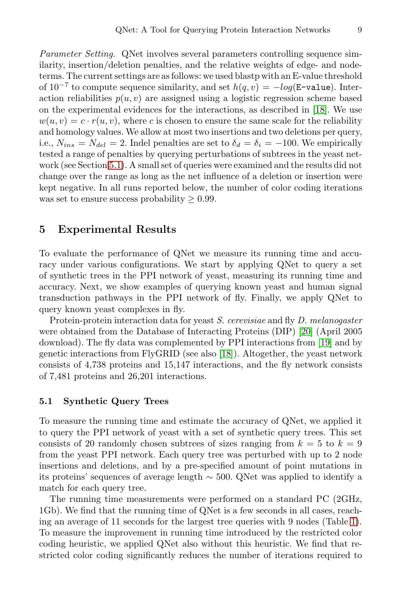Parameter Setting. QNet involves several parameters controlling sequence similarity, insertion/deletion penalties, and the relative weights of edge- and nodeterms. The current settings are as follows: we used blastp with an E-value threshold of  $10^{-7}$  to compute sequence similarity, and set  $h(q, v) = -log(E - \text{value})$ . Interaction reliabilities  $p(u, v)$  are assigned using a logistic regression scheme based on the experimental evidences for the interactions, as described in [18]. We use  $w(u, v) = c \cdot r(u, v)$ , where c is chosen to ensure the same scale for the reliability and homology values. We allow at most two insertions and two deletions per query, i.e.,  $N_{ins} = N_{del} = 2$ . Indel penalties are set to  $\delta_d = \delta_i = -100$ . We empirically tested a range of penalties by querying perturbations of subtrees in the yeast network (see Section 5.1). A small set of queries were examined and the results did not change over the range as long as the net influence of a deletion or insertion were kept negative. In all runs reported below, the number of color coding iterations was set to ensure success probability  $\geq 0.99$ .

### **5 Experimental Results**

To evaluate the performance of QNet we measure its running time and accuracy under various configurations. We start by applying QNet to query a set of synthetic trees in the PPI network of yeast, measuring its running time and accuracy. Next, we show examples of querying known yeast and human signal transduction pathways in the PPI network of fly. Finally, we apply QNet to query known yeast complexes in fly.

Protein-protein interaction data for yeast S. cerevisiae and fly D. melanogaster were obtained from the Database of Interacting Proteins (DIP) [20] (April 2005 download). The fly data was complemented by PPI interactions from [19] and by genetic interactions from FlyGRID (see also [18]). Altogether, the yeast network consists of 4,738 proteins and 15,147 interactions, and the fly network consists of 7,481 proteins and 26,201 interactions.

#### **5.1 Synthetic Query Trees**

To measure the running time and estimate the accuracy of QNet, we applied it to query the PPI network of yeast with a set of synthetic query trees. This set consists of 20 randomly chosen subtrees of sizes ranging from  $k = 5$  to  $k = 9$ from the yeast PPI network. Each query tree was perturbed with up to 2 node insertions and deletions, and by a pre-specified amount of point mutations in its proteins' sequences of average length ∼ 500. QNet was applied to identify a match for each query tree.

The running time measurements were performed on a standard PC (2GHz, 1Gb). We find that the running time of QNet is a few seconds in all cases, reaching an average of 11 seconds for the largest tree queries with 9 nodes (Table 1). To measure the improvement in running time introduced by the restricted color coding heuristic, we applied QNet also without this heuristic. We find that restricted color coding significantly reduces the number of iterations required to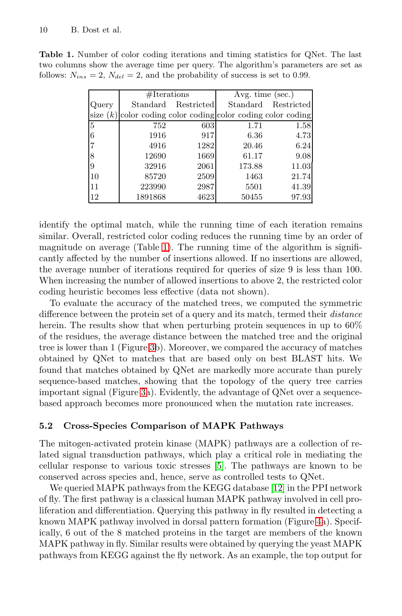|                | $# \mathcal{H}$ Iterations |            | Avg. time $(sec.)$                                  |            |
|----------------|----------------------------|------------|-----------------------------------------------------|------------|
| Query          | $\operatorname{Standard}$  | Restricted | Standard                                            | Restricted |
| size $(k)$     |                            |            | color coding color coding color coding color coding |            |
| $\overline{5}$ | 752                        | 603        | 1.71                                                | 1.58       |
| 6              | 1916                       | 917        | 6.36                                                | 4.73       |
|                | 4916                       | 1282       | 20.46                                               | 6.24       |
|                | 12690                      | 1669       | 61.17                                               | 9.08       |
| 9              | 32916                      | 2061       | 173.88                                              | 11.03      |
| 10             | 85720                      | 2509       | 1463                                                | 21.74      |
| 11             | 223990                     | 2987       | 5501                                                | 41.39      |
| 12             | 1891868                    | 4623       | 50455                                               | 97.93      |

**Table 1.** Number of color coding iterations and timing statistics for QNet. The last two columns show the average time per query. The algorithm's parameters are set as follows:  $N_{ins} = 2$ ,  $N_{del} = 2$ , and the probability of success is set to 0.99.

identify the optimal match, while the running time of each iteration remains similar. Overall, restricted color coding reduces the running time by an order of magnitude on average (Table 1). The running time of the algorithm is significantly affected by the number of insertions allowed. If no insertions are allowed, the average number of iterations required for queries of size 9 is less than 100. When increasing the number of allowed insertions to above 2, the restricted color coding heuristic becomes less effective (data not shown).

To evaluate the accuracy of the matched trees, we computed the symmetric difference between the protein set of a query and its match, termed their *distance* herein. The results show that when perturbing protein sequences in up to  $60\%$ of the residues, the average distance between the matched tree and the original tree is lower than 1 (Figure 3b). Moreover, we compared the accuracy of matches obtained by QNet to matches that are based only on best BLAST hits. We found that matches obtained by QNet are markedly more accurate than purely sequence-based matches, showing that the topology of the query tree carries important signal (Figure 3a). Evidently, the advantage of QNet over a sequencebased approach becomes more pronounced when the mutation rate increases.

#### **5.2 Cross-Species Comparison of MAPK Pathways**

The mitogen-activated protein kinase (MAPK) pathways are a collection of related signal transduction pathways, which play a critical role in mediating the cellular response to various toxic stresses [5]. The pathways are known to be conserved across species and, hence, serve as controlled tests to QNet.

We queried MAPK pathways from the KEGG database [12] in the PPI network of fly. The first pathway is a classical human MAPK pathway involved in cell proliferation and differentiation. Querying this pathway in fly resulted in detecting a known MAPK pathway involved in dorsal pattern formation (Figure 4a). Specifically, 6 out of the 8 matched proteins in the target are members of the known MAPK pathway in fly. Similar results were obtained by querying the yeast MAPK pathways from KEGG against the fly network. As an example, the top output for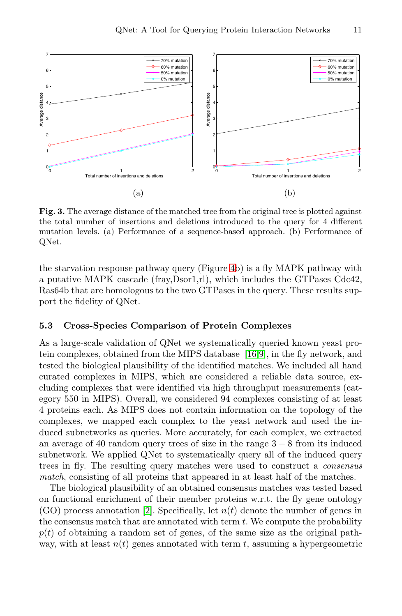

**Fig. 3.** The average distance of the matched tree from the original tree is plotted against the total number of insertions and deletions introduced to the query for 4 different mutation levels. (a) Performance of a sequence-based approach. (b) Performance of QNet.

the starvation response pathway query (Figure 4b) is a fly MAPK pathway with a putative MAPK cascade (fray,Dsor1,rl), which includes the GTPases Cdc42, Ras64b that are homologous to the two GTPases in the query. These results support the fidelity of QNet.

#### **5.3 Cross-Species Comparison of Protein Complexes**

As a large-scale validation of QNet we systematically queried known yeast protein complexes, obtained from the MIPS database [16,9], in the fly network, and tested the biological plausibility of the identified matches. We included all hand curated complexes in MIPS, which are considered a reliable data source, excluding complexes that were identified via high throughput measurements (category 550 in MIPS). Overall, we considered 94 complexes consisting of at least 4 proteins each. As MIPS does not contain information on the topology of the complexes, we mapped each complex to the yeast network and used the induced subnetworks as queries. More accurately, for each complex, we extracted an average of 40 random query trees of size in the range 3 − 8 from its induced subnetwork. We applied QNet to systematically query all of the induced query trees in fly. The resulting query matches were used to construct a consensus match, consisting of all proteins that appeared in at least half of the matches.

The biological plausibility of an obtained consensus matches was tested based on functional enrichment of their member proteins w.r.t. the fly gene ontology  $(GO)$  process annotation [2]. Specifically, let  $n(t)$  denote the number of genes in the consensus match that are annotated with term  $t$ . We compute the probability  $p(t)$  of obtaining a random set of genes, of the same size as the original pathway, with at least  $n(t)$  genes annotated with term t, assuming a hypergeometric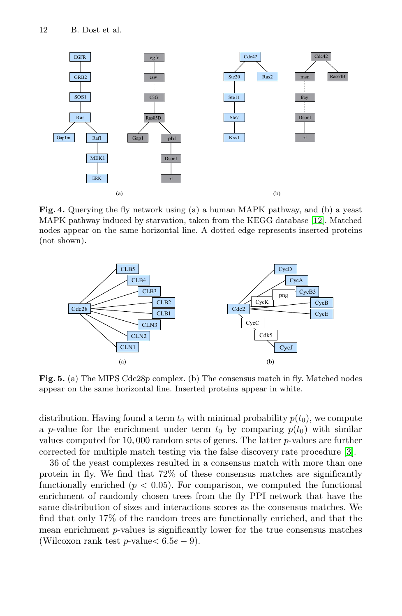

**Fig. 4.** Querying the fly network using (a) a human MAPK pathway, and (b) a yeast MAPK pathway induced by starvation, taken from the KEGG database [12]. Matched nodes appear on the same horizontal line. A dotted edge represents inserted proteins (not shown).



Fig. 5. (a) The MIPS Cdc28p complex. (b) The consensus match in fly. Matched nodes appear on the same horizontal line. Inserted proteins appear in white.

distribution. Having found a term  $t_0$  with minimal probability  $p(t_0)$ , we compute a p-value for the enrichment under term  $t_0$  by comparing  $p(t_0)$  with similar values computed for 10, 000 random sets of genes. The latter p-values are further corrected for multiple match testing via the false discovery rate procedure [3].

36 of the yeast complexes resulted in a consensus match with more than one protein in fly. We find that 72% of these consensus matches are significantly functionally enriched  $(p < 0.05)$ . For comparison, we computed the functional enrichment of randomly chosen trees from the fly PPI network that have the same distribution of sizes and interactions scores as the consensus matches. We find that only 17% of the random trees are functionally enriched, and that the mean enrichment p-values is significantly lower for the true consensus matches (Wilcoxon rank test p-value $< 6.5e - 9$ ).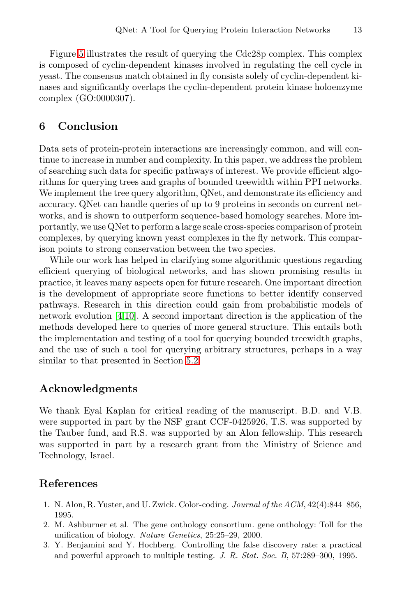Figure 5 illustrates the result of querying the Cdc28p complex. This complex is composed of cyclin-dependent kinases involved in regulating the cell cycle in yeast. The consensus match obtained in fly consists solely of cyclin-dependent kinases and significantly overlaps the cyclin-dependent protein kinase holoenzyme complex (GO:0000307).

#### **6 Conclusion**

Data sets of protein-protein interactions are increasingly common, and will continue to increase in number and complexity. In this paper, we address the problem of searching such data for specific pathways of interest. We provide efficient algorithms for querying trees and graphs of bounded treewidth within PPI networks. We implement the tree query algorithm, QNet, and demonstrate its efficiency and accuracy. QNet can handle queries of up to 9 proteins in seconds on current networks, and is shown to outperform sequence-based homology searches. More importantly, we use QNet to perform a large scale cross-speciescomparisonof protein complexes, by querying known yeast complexes in the fly network. This comparison points to strong conservation between the two species.

While our work has helped in clarifying some algorithmic questions regarding efficient querying of biological networks, and has shown promising results in practice, it leaves many aspects open for future research. One important direction is the development of appropriate score functions to better identify conserved pathways. Research in this direction could gain from probabilistic models of network evolution [4,10]. A second important direction is the application of the methods developed here to queries of more general structure. This entails both the implementation and testing of a tool for querying bounded treewidth graphs, and the use of such a tool for querying arbitrary structures, perhaps in a way similar to that presented in Section 5.2.

#### **Acknowledgments**

We thank Eyal Kaplan for critical reading of the manuscript. B.D. and V.B. were supported in part by the NSF grant CCF-0425926, T.S. was supported by the Tauber fund, and R.S. was supported by an Alon fellowship. This research was supported in part by a research grant from the Ministry of Science and Technology, Israel.

#### **References**

- 1. N. Alon, R. Yuster, and U. Zwick. Color-coding. Journal of the ACM, 42(4):844–856, 1995.
- 2. M. Ashburner et al. The gene onthology consortium. gene onthology: Toll for the unification of biology. Nature Genetics, 25:25–29, 2000.
- 3. Y. Benjamini and Y. Hochberg. Controlling the false discovery rate: a practical and powerful approach to multiple testing. J. R. Stat. Soc. B, 57:289–300, 1995.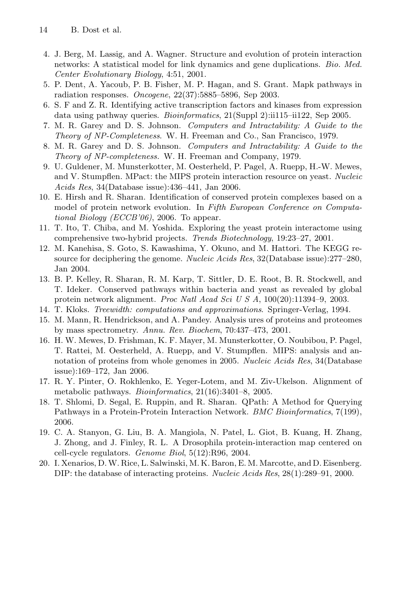- 4. J. Berg, M. Lassig, and A. Wagner. Structure and evolution of protein interaction networks: A statistical model for link dynamics and gene duplications. Bio. Med. Center Evolutionary Biology, 4:51, 2001.
- 5. P. Dent, A. Yacoub, P. B. Fisher, M. P. Hagan, and S. Grant. Mapk pathways in radiation responses. Oncogene, 22(37):5885–5896, Sep 2003.
- 6. S. F and Z. R. Identifying active transcription factors and kinases from expression data using pathway queries. Bioinformatics, 21(Suppl 2):ii115–ii122, Sep 2005.
- 7. M. R. Garey and D. S. Johnson. Computers and Intractability: A Guide to the Theory of NP-Completeness. W. H. Freeman and Co., San Francisco, 1979.
- 8. M. R. Garey and D. S. Johnson. Computers and Intractability: A Guide to the Theory of NP-completeness. W. H. Freeman and Company, 1979.
- 9. U. Guldener, M. Munsterkotter, M. Oesterheld, P. Pagel, A. Ruepp, H.-W. Mewes, and V. Stumpflen. MPact: the MIPS protein interaction resource on yeast. Nucleic Acids Res, 34(Database issue):436–441, Jan 2006.
- 10. E. Hirsh and R. Sharan. Identification of conserved protein complexes based on a model of protein network evolution. In Fifth European Conference on Computational Biology (ECCB'06), 2006. To appear.
- 11. T. Ito, T. Chiba, and M. Yoshida. Exploring the yeast protein interactome using comprehensive two-hybrid projects. Trends Biotechnology, 19:23–27, 2001.
- 12. M. Kanehisa, S. Goto, S. Kawashima, Y. Okuno, and M. Hattori. The KEGG resource for deciphering the genome. Nucleic Acids Res, 32(Database issue):277–280, Jan 2004.
- 13. B. P. Kelley, R. Sharan, R. M. Karp, T. Sittler, D. E. Root, B. R. Stockwell, and T. Ideker. Conserved pathways within bacteria and yeast as revealed by global protein network alignment. Proc Natl Acad Sci U S A, 100(20):11394–9, 2003.
- 14. T. Kloks. Treewidth: computations and approximations. Springer-Verlag, 1994.
- 15. M. Mann, R. Hendrickson, and A. Pandey. Analysis ures of proteins and proteomes by mass spectrometry. Annu. Rev. Biochem, 70:437–473, 2001.
- 16. H. W. Mewes, D. Frishman, K. F. Mayer, M. Munsterkotter, O. Noubibou, P. Pagel, T. Rattei, M. Oesterheld, A. Ruepp, and V. Stumpflen. MIPS: analysis and annotation of proteins from whole genomes in 2005. Nucleic Acids Res, 34(Database issue):169–172, Jan 2006.
- 17. R. Y. Pinter, O. Rokhlenko, E. Yeger-Lotem, and M. Ziv-Ukelson. Alignment of metabolic pathways. Bioinformatics, 21(16):3401–8, 2005.
- 18. T. Shlomi, D. Segal, E. Ruppin, and R. Sharan. QPath: A Method for Querying Pathways in a Protein-Protein Interaction Network. BMC Bioinformatics, 7(199), 2006.
- 19. C. A. Stanyon, G. Liu, B. A. Mangiola, N. Patel, L. Giot, B. Kuang, H. Zhang, J. Zhong, and J. Finley, R. L. A Drosophila protein-interaction map centered on cell-cycle regulators. Genome Biol, 5(12):R96, 2004.
- 20. I. Xenarios, D.W. Rice, L. Salwinski, M. K. Baron, E. M. Marcotte, and D. Eisenberg. DIP: the database of interacting proteins. Nucleic Acids Res, 28(1):289–91, 2000.